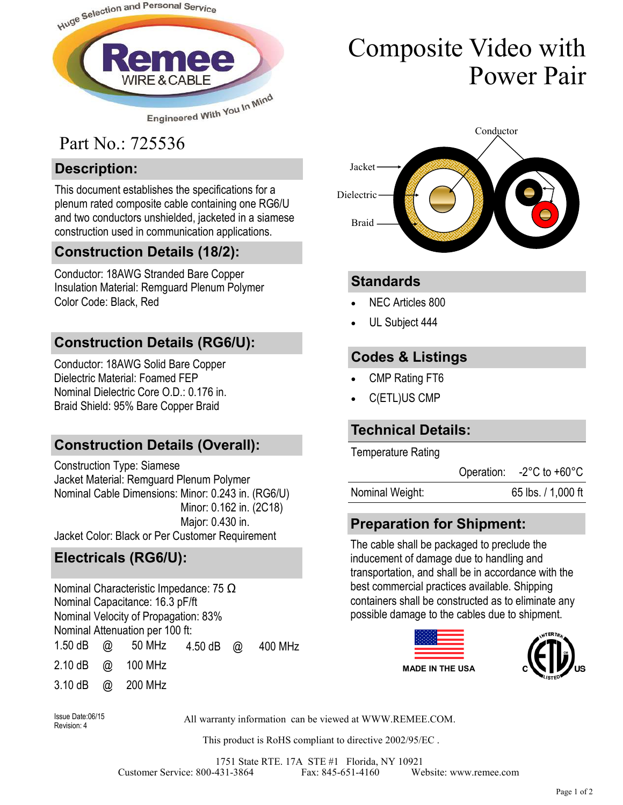

# Part No.: 725536

### **Description:**

This document establishes the specifications for a plenum rated composite cable containing one RG6/U and two conductors unshielded, jacketed in a siamese construction used in communication applications.

# **Construction Details (18/2):**

Conductor: 18AWG Stranded Bare Copper Insulation Material: Remguard Plenum Polymer Color Code: Black, Red

# **Construction Details (RG6/U):**

Conductor: 18AWG Solid Bare Copper Dielectric Material: Foamed FEP Nominal Dielectric Core O.D.: 0.176 in. Braid Shield: 95% Bare Copper Braid

# **Construction Details (Overall):**

Construction Type: Siamese Jacket Material: Remguard Plenum Polymer Nominal Cable Dimensions: Minor: 0.243 in. (RG6/U) Minor: 0.162 in. (2C18) Major: 0.430 in. Jacket Color: Black or Per Customer Requirement

# **Electricals (RG6/U):**

Nominal Characteristic Impedance: 75 Ω Nominal Capacitance: 16.3 pF/ft Nominal Velocity of Propagation: 83% Nominal Attenuation per 100 ft: 1.50 dB @ 50 MHz 2.10 dB @ 100 MHz 3.10 dB @ 200 MHz 4.50 dB @ 400 MHz

# Composite Video with Power Pair



#### **Standards**

- NEC Articles 800
- UL Subject 444

### **Codes & Listings**

- CMP Rating FT6
- C(ETL)US CMP

#### **Technical Details:**

Temperature Rating

Operation: -2°C to +60°C

| Nominal Weight: | 65 lbs. / 1,000 ft |
|-----------------|--------------------|
|                 |                    |

# **Preparation for Shipment:**

The cable shall be packaged to preclude the inducement of damage due to handling and transportation, and shall be in accordance with the best commercial practices available. Shipping containers shall be constructed as to eliminate any possible damage to the cables due to shipment.





Revision: 4

All warranty information can be viewed at WWW.REMEE.COM. Issue Date:06/15

This product is RoHS compliant to directive 2002/95/EC .

1751 State RTE. 17A STE #1 Florida, NY 10921 Customer Service: 800-431-3864 Fax: 845-651-4160 Website: www.remee.com